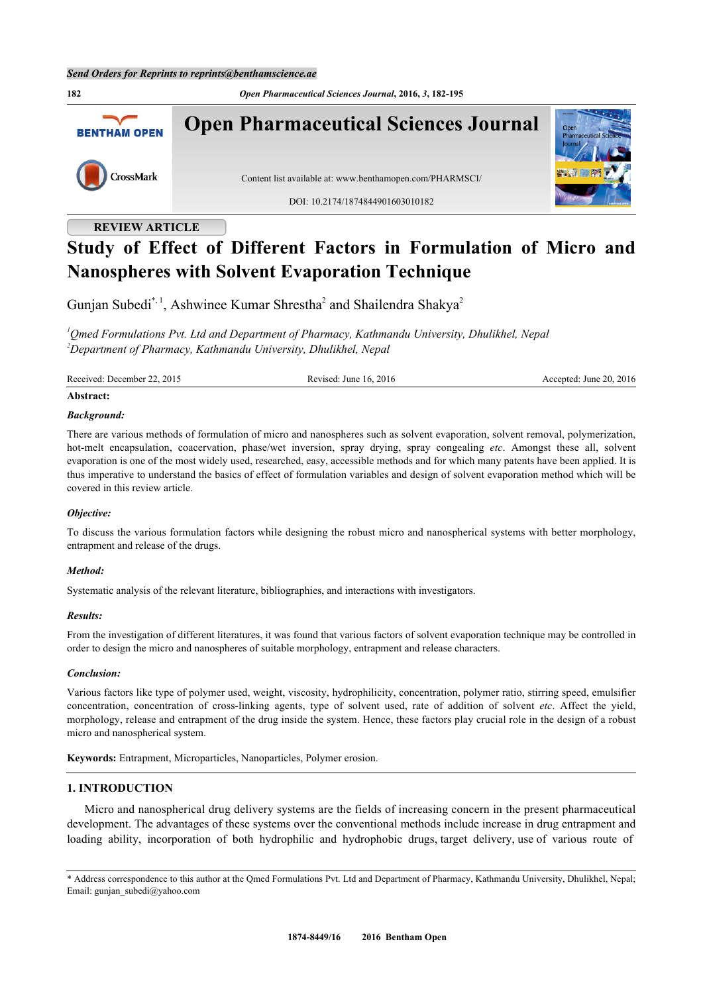**182** *Open Pharmaceutical Sciences Journal***, 2016,** *3***, 182-195 Open Pharmaceutical Sciences Journal BENTHAM OPEN** CrossMark Content list available at: [www.benthamopen.com/PHARMSCI/](http://www.benthamopen.com/PHARMSCI/) DOI: [10.2174/1874844901603010182](http://dx.doi.org/10.2174/1874844901603010182)

# **REVIEW ARTICLE**

# **Study of Effect of Different Factors in Formulation of Micro and Nanospheres with Solvent Evaporation Technique**

Gunjan Subedi<sup>[\\*,](#page-0-0) [1](#page-0-1)</sup>, Ashwinee Kumar Shrestha<sup>[2](#page-0-2)</sup> and Shailendra Shakya<sup>2</sup>

<span id="page-0-2"></span><span id="page-0-1"></span>*<sup>1</sup>Qmed Formulations Pvt. Ltd and Department of Pharmacy, Kathmandu University, Dhulikhel, Nepal <sup>2</sup>Department of Pharmacy, Kathmandu University, Dhulikhel, Nepal*

Received: December 22, 2015 Revised: June 16, 2016 Revised: June 20, 2016

#### **Abstract:**

#### *Background:*

There are various methods of formulation of micro and nanospheres such as solvent evaporation, solvent removal, polymerization, hot-melt encapsulation, coacervation, phase/wet inversion, spray drying, spray congealing *etc*. Amongst these all, solvent evaporation is one of the most widely used, researched, easy, accessible methods and for which many patents have been applied. It is thus imperative to understand the basics of effect of formulation variables and design of solvent evaporation method which will be covered in this review article.

## *Objective:*

To discuss the various formulation factors while designing the robust micro and nanospherical systems with better morphology, entrapment and release of the drugs.

#### *Method:*

Systematic analysis of the relevant literature, bibliographies, and interactions with investigators.

#### *Results:*

From the investigation of different literatures, it was found that various factors of solvent evaporation technique may be controlled in order to design the micro and nanospheres of suitable morphology, entrapment and release characters.

#### *Conclusion:*

Various factors like type of polymer used, weight, viscosity, hydrophilicity, concentration, polymer ratio, stirring speed, emulsifier concentration, concentration of cross-linking agents, type of solvent used, rate of addition of solvent *etc*. Affect the yield, morphology, release and entrapment of the drug inside the system. Hence, these factors play crucial role in the design of a robust micro and nanospherical system.

**Keywords:** Entrapment, Microparticles, Nanoparticles, Polymer erosion.

# **1. INTRODUCTION**

Micro and nanospherical drug delivery systems are the fields of increasing concern in the present pharmaceutical development. The advantages of these systems over the conventional methods include increase in drug entrapment and loading ability, incorporation of both hydrophilic and hydrophobic drugs, target delivery, use of various route of

<span id="page-0-0"></span>\* Address correspondence to this author at the Qmed Formulations Pvt. Ltd and Department of Pharmacy, Kathmandu University, Dhulikhel, Nepal; Email: [gunjan\\_subedi@yahoo.com](mailto:gunjan_subedi@yahoo.com)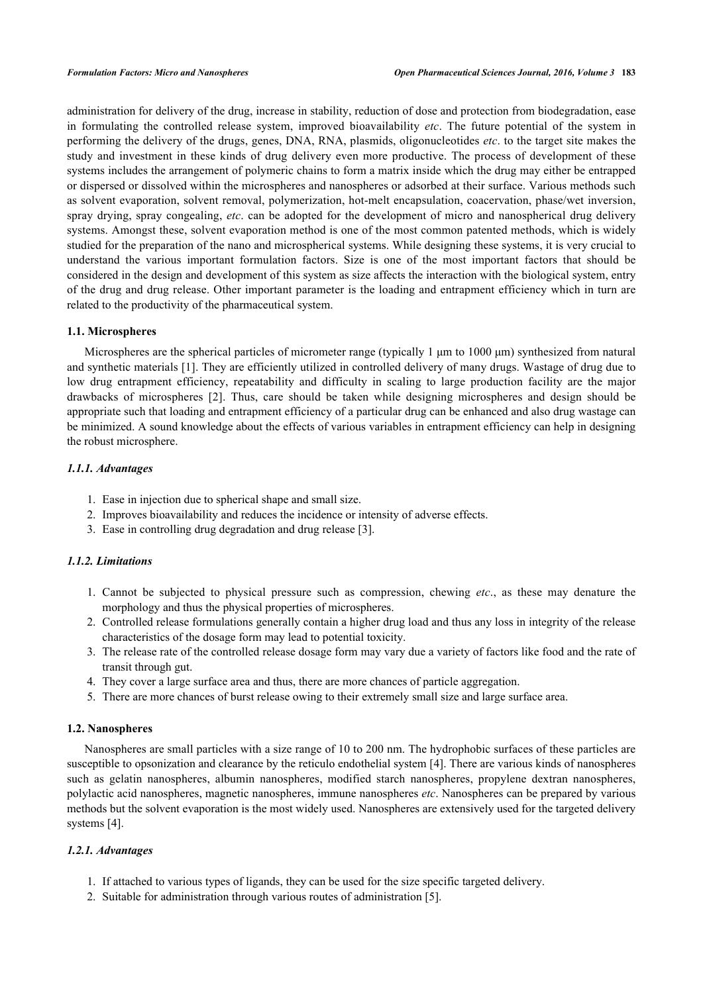administration for delivery of the drug, increase in stability, reduction of dose and protection from biodegradation, ease in formulating the controlled release system, improved bioavailability *etc*. The future potential of the system in performing the delivery of the drugs, genes, DNA, RNA, plasmids, oligonucleotides *etc*. to the target site makes the study and investment in these kinds of drug delivery even more productive. The process of development of these systems includes the arrangement of polymeric chains to form a matrix inside which the drug may either be entrapped or dispersed or dissolved within the microspheres and nanospheres or adsorbed at their surface. Various methods such as solvent evaporation, solvent removal, polymerization, hot-melt encapsulation, coacervation, phase/wet inversion, spray drying, spray congealing, *etc*. can be adopted for the development of micro and nanospherical drug delivery systems. Amongst these, solvent evaporation method is one of the most common patented methods, which is widely studied for the preparation of the nano and microspherical systems. While designing these systems, it is very crucial to understand the various important formulation factors. Size is one of the most important factors that should be considered in the design and development of this system as size affects the interaction with the biological system, entry of the drug and drug release. Other important parameter is the loading and entrapment efficiency which in turn are related to the productivity of the pharmaceutical system.

# **1.1. Microspheres**

Microspheres are the spherical particles of micrometer range (typically 1 μm to 1000 μm) synthesized from natural and synthetic materials [\[1](#page-9-0)]. They are efficiently utilized in controlled delivery of many drugs. Wastage of drug due to low drug entrapment efficiency, repeatability and difficulty in scaling to large production facility are the major drawbacks of microspheres[[2](#page-9-1)]. Thus, care should be taken while designing microspheres and design should be appropriate such that loading and entrapment efficiency of a particular drug can be enhanced and also drug wastage can be minimized. A sound knowledge about the effects of various variables in entrapment efficiency can help in designing the robust microsphere.

## *1.1.1. Advantages*

- 1. Ease in injection due to spherical shape and small size.
- 2. Improves bioavailability and reduces the incidence or intensity of adverse effects.
- 3. Ease in controlling drug degradation and drug release [[3\]](#page-9-2).

# *1.1.2. Limitations*

- 1. Cannot be subjected to physical pressure such as compression, chewing *etc*., as these may denature the morphology and thus the physical properties of microspheres.
- 2. Controlled release formulations generally contain a higher drug load and thus any loss in integrity of the release characteristics of the dosage form may lead to potential toxicity.
- 3. The release rate of the controlled release dosage form may vary due a variety of factors like food and the rate of transit through gut.
- 4. They cover a large surface area and thus, there are more chances of particle aggregation.
- 5. There are more chances of burst release owing to their extremely small size and large surface area.

# **1.2. Nanospheres**

Nanospheres are small particles with a size range of 10 to 200 nm. The hydrophobic surfaces of these particles are susceptible to opsonization and clearance by the reticulo endothelial system [\[4](#page-9-3)]. There are various kinds of nanospheres such as gelatin nanospheres, albumin nanospheres, modified starch nanospheres, propylene dextran nanospheres, polylactic acid nanospheres, magnetic nanospheres, immune nanospheres *etc*. Nanospheres can be prepared by various methods but the solvent evaporation is the most widely used. Nanospheres are extensively used for the targeted delivery systems [\[4](#page-9-3)].

# *1.2.1. Advantages*

- 1. If attached to various types of ligands, they can be used for the size specific targeted delivery.
- 2. Suitable for administration through various routes of administration [\[5](#page-9-4)].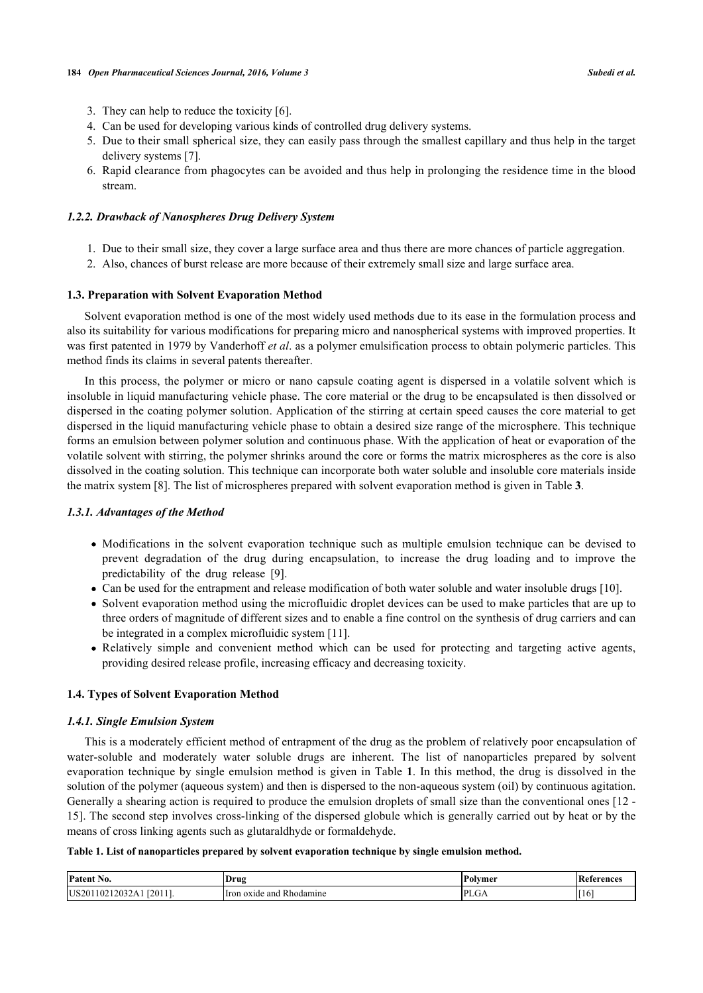- 3. They can help to reduce the toxicity [\[6](#page-9-5)].
- 4. Can be used for developing various kinds of controlled drug delivery systems.
- 5. Due to their small spherical size, they can easily pass through the smallest capillary and thus help in the target delivery systems [\[7](#page-9-6)].
- 6. Rapid clearance from phagocytes can be avoided and thus help in prolonging the residence time in the blood stream.

#### *1.2.2. Drawback of Nanospheres Drug Delivery System*

- 1. Due to their small size, they cover a large surface area and thus there are more chances of particle aggregation.
- 2. Also, chances of burst release are more because of their extremely small size and large surface area.

#### **1.3. Preparation with Solvent Evaporation Method**

Solvent evaporation method is one of the most widely used methods due to its ease in the formulation process and also its suitability for various modifications for preparing micro and nanospherical systems with improved properties. It was first patented in 1979 by Vanderhoff *et al*. as a polymer emulsification process to obtain polymeric particles. This method finds its claims in several patents thereafter.

In this process, the polymer or micro or nano capsule coating agent is dispersed in a volatile solvent which is insoluble in liquid manufacturing vehicle phase. The core material or the drug to be encapsulated is then dissolved or dispersed in the coating polymer solution. Application of the stirring at certain speed causes the core material to get dispersed in the liquid manufacturing vehicle phase to obtain a desired size range of the microsphere. This technique forms an emulsion between polymer solution and continuous phase. With the application of heat or evaporation of the volatile solvent with stirring, the polymer shrinks around the core or forms the matrix microspheres as the core is also dissolved in the coating solution. This technique can incorporate both water soluble and insoluble core materials inside the matrix system [[8\]](#page-9-7). The list of microspheres prepared with solvent evaporation method is given in Table **[3](#page-3-0)**.

## *1.3.1. Advantages of the Method*

- Modifications in the solvent evaporation technique such as multiple emulsion technique can be devised to prevent degradation of the drug during encapsulation, to increase the drug loading and to improve the predictability of the drug release [\[9](#page-9-8)].
- Can be used for the entrapment and release modification of both water soluble and water insoluble drugs [\[10](#page-9-9)].
- Solvent evaporation method using the microfluidic droplet devices can be used to make particles that are up to three orders of magnitude of different sizes and to enable a fine control on the synthesis of drug carriers and can be integrated in a complex microfluidic system [[11\]](#page-9-10).
- Relatively simple and convenient method which can be used for protecting and targeting active agents, providing desired release profile, increasing efficacy and decreasing toxicity.

#### **1.4. Types of Solvent Evaporation Method**

#### *1.4.1. Single Emulsion System*

This is a moderately efficient method of entrapment of the drug as the problem of relatively poor encapsulation of water-soluble and moderately water soluble drugs are inherent. The list of nanoparticles prepared by solvent evaporation technique by single emulsion method is given in Table **[1](#page-2-0)**. In this method, the drug is dissolved in the solution of the polymer (aqueous system) and then is dispersed to the non-aqueous system (oil) by continuous agitation. Generally a shearing action is required to produce the emulsion droplets of small size than the conventional ones  $[12 [12 -$ [15\]](#page-10-0). The second step involves cross-linking of the dispersed globule which is generally carried out by heat or by the means of cross linking agents such as glutaraldhyde or formaldehyde.

#### <span id="page-2-0"></span>**Table 1. List of nanoparticles prepared by solvent evaporation technique by single emulsion method.**

| Patent<br>No.                                 | <b>Drug</b>                             | <b>Polymer</b> | References |
|-----------------------------------------------|-----------------------------------------|----------------|------------|
| 12011.<br>IUS20<br>ີາ∩⊹<br>$^{\prime}$<br>104 | $\sim$<br>Hron oxide and<br>. Rhodamine | DI<br>. LLUF   | . I O      |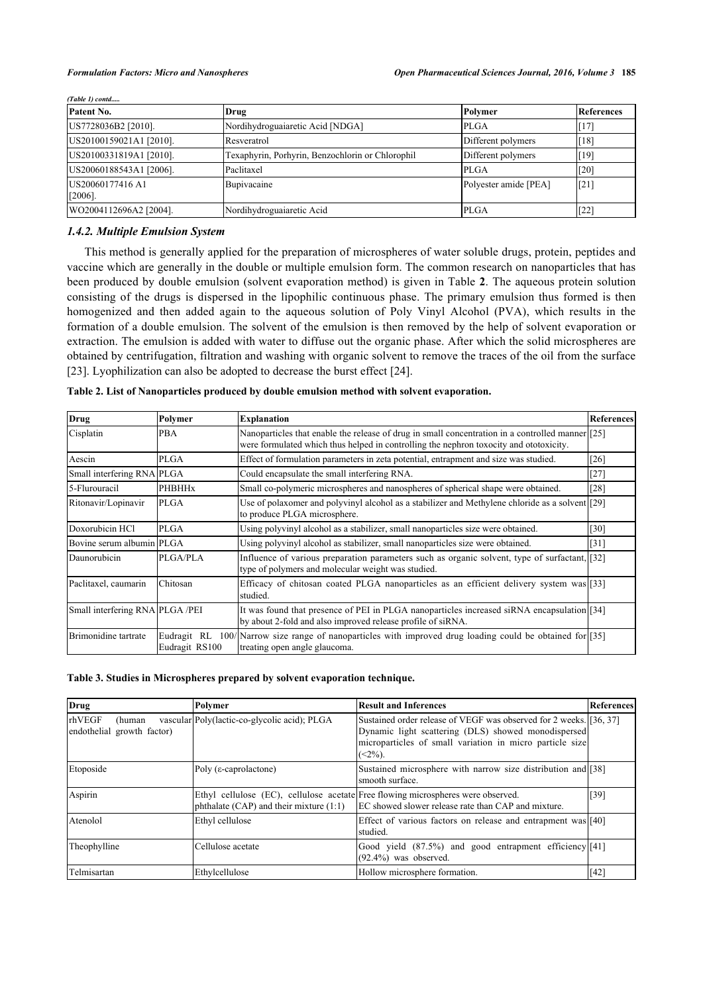| (1 avie 1) conia               |                                                  |                       |              |  |
|--------------------------------|--------------------------------------------------|-----------------------|--------------|--|
| Patent No.                     | Drug                                             | Polymer               | References   |  |
| US7728036B2 [2010].            | Nordihydroguaiaretic Acid [NDGA]                 | <b>PLGA</b>           | $[17]$       |  |
| US20100159021A1 [2010].        | Resveratrol                                      | Different polymers    | [18]         |  |
| US20100331819A1 [2010].        | Texaphyrin, Porhyrin, Benzochlorin or Chlorophil | Different polymers    | $\vert$ [19] |  |
| US20060188543A1 [2006].        | Paclitaxel                                       | <b>PLGA</b>           | $\sqrt{20}$  |  |
| US20060177416 A1<br>$[2006]$ . | Bupivacaine                                      | Polyester amide [PEA] | $\sqrt{21}$  |  |
| WO2004112696A2 [2004].         | Nordihydroguaiaretic Acid                        | <b>PLGA</b>           | $[22]$       |  |

*(Table 1) contd.....*

# *1.4.2. Multiple Emulsion System*

This method is generally applied for the preparation of microspheres of water soluble drugs, protein, peptides and vaccine which are generally in the double or multiple emulsion form. The common research on nanoparticles that has been produced by double emulsion (solvent evaporation method) is given in Table **[2](#page-3-1)**. The aqueous protein solution consisting of the drugs is dispersed in the lipophilic continuous phase. The primary emulsion thus formed is then homogenized and then added again to the aqueous solution of Poly Vinyl Alcohol (PVA), which results in the formation of a double emulsion. The solvent of the emulsion is then removed by the help of solvent evaporation or extraction. The emulsion is added with water to diffuse out the organic phase. After which the solid microspheres are obtained by centrifugation, filtration and washing with organic solvent to remove the traces of the oil from the surface [\[23](#page-10-8)]. Lyophilization can also be adopted to decrease the burst effect [[24\]](#page-10-9).

<span id="page-3-1"></span>

| Table 2. List of Nanoparticles produced by double emulsion method with solvent evaporation. |  |  |
|---------------------------------------------------------------------------------------------|--|--|

| <b>Drug</b>                     | Polymer        | <b>Explanation</b>                                                                                                                                                                         | <b>References</b> |
|---------------------------------|----------------|--------------------------------------------------------------------------------------------------------------------------------------------------------------------------------------------|-------------------|
| Cisplatin                       | <b>PBA</b>     | Nanoparticles that enable the release of drug in small concentration in a controlled manner [25]<br>were formulated which thus helped in controlling the nephron toxocity and ototoxicity. |                   |
| Aescin                          | PLGA           | Effect of formulation parameters in zeta potential, entrapment and size was studied.                                                                                                       | [26]              |
| Small interfering RNA PLGA      |                | Could encapsulate the small interfering RNA.                                                                                                                                               | [27]              |
| 5-Flurouracil                   | <b>PHBHHx</b>  | Small co-polymeric microspheres and nanospheres of spherical shape were obtained.                                                                                                          | [28]              |
| Ritonavir/Lopinavir             | <b>PLGA</b>    | Use of polaxomer and polyvinyl alcohol as a stabilizer and Methylene chloride as a solvent [29]<br>to produce PLGA microsphere.                                                            |                   |
| Doxorubicin HCl                 | <b>PLGA</b>    | Using polyvinyl alcohol as a stabilizer, small nanoparticles size were obtained.                                                                                                           | [30]              |
| Bovine serum albumin PLGA       |                | Using polyvinyl alcohol as stabilizer, small nanoparticles size were obtained.                                                                                                             | $[31]$            |
| Daunorubicin                    | PLGA/PLA       | Influence of various preparation parameters such as organic solvent, type of surfactant, [32]<br>type of polymers and molecular weight was studied.                                        |                   |
| Paclitaxel, caumarin            | Chitosan       | Efficacy of chitosan coated PLGA nanoparticles as an efficient delivery system was [33]<br>studied.                                                                                        |                   |
| Small interfering RNA PLGA /PEI |                | It was found that presence of PEI in PLGA nanoparticles increased siRNA encapsulation [34]<br>by about 2-fold and also improved release profile of siRNA.                                  |                   |
| Brimonidine tartrate            | Eudragit RS100 | Eudragit RL 100/Narrow size range of nanoparticles with improved drug loading could be obtained for [35]<br>treating open angle glaucoma.                                                  |                   |

#### <span id="page-3-0"></span>**Table 3. Studies in Microspheres prepared by solvent evaporation technique.**

| <b>Drug</b>                                    | Polymer                                      | <b>Result and Inferences</b>                                                                                                                                                                                     | References  |
|------------------------------------------------|----------------------------------------------|------------------------------------------------------------------------------------------------------------------------------------------------------------------------------------------------------------------|-------------|
| rhVEGF<br>(human<br>endothelial growth factor) | vascular Poly(lactic-co-glycolic acid); PLGA | Sustained order release of VEGF was observed for 2 weeks. [36, 37]<br>Dynamic light scattering (DLS) showed monodispersed<br>microparticles of small variation in micro particle size<br>$\left( <2\% \right)$ . |             |
| Etoposide                                      | Poly ( $\varepsilon$ -caprolactone)          | Sustained microsphere with narrow size distribution and [38]<br>Ismooth surface.                                                                                                                                 |             |
| Aspirin                                        | phthalate (CAP) and their mixture $(1:1)$    | Ethyl cellulose (EC), cellulose acetate Free flowing microspheres were observed.<br>EC showed slower release rate than CAP and mixture.                                                                          | $\sqrt{39}$ |
| Atenolol                                       | Ethyl cellulose                              | Effect of various factors on release and entrapment was [40]<br>Istudied.                                                                                                                                        |             |
| Theophylline                                   | Cellulose acetate                            | Good yield (87.5%) and good entrapment efficiency [41]<br>$(92.4\%)$ was observed.                                                                                                                               |             |
| Telmisartan                                    | Ethylcellulose                               | Hollow microsphere formation.                                                                                                                                                                                    | $[42]$      |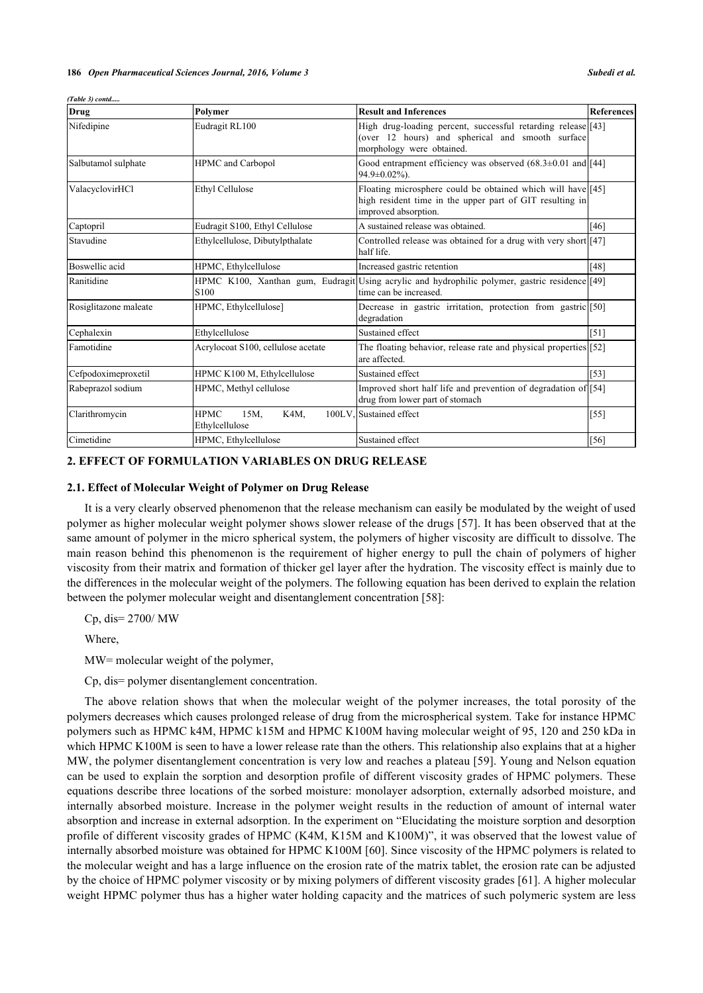| Drug                  | Polymer                                       | <b>Result and Inferences</b>                                                                                                                    | <b>References</b> |
|-----------------------|-----------------------------------------------|-------------------------------------------------------------------------------------------------------------------------------------------------|-------------------|
| Nifedipine            | Eudragit RL100                                | High drug-loading percent, successful retarding release [43]<br>(over 12 hours) and spherical and smooth surface<br>morphology were obtained.   |                   |
| Salbutamol sulphate   | <b>HPMC</b> and Carbopol                      | Good entrapment efficiency was observed $(68.3\pm0.01$ and [44]<br>94.9±0.02%).                                                                 |                   |
| ValacyclovirHCl       | <b>Ethyl Cellulose</b>                        | Floating microsphere could be obtained which will have [45]<br>high resident time in the upper part of GIT resulting in<br>improved absorption. |                   |
| Captopril             | Eudragit S100, Ethyl Cellulose                | A sustained release was obtained.                                                                                                               | $[46]$            |
| Stavudine             | Ethylcellulose, Dibutylpthalate               | Controlled release was obtained for a drug with very short [47]<br>half life.                                                                   |                   |
| Boswellic acid        | HPMC, Ethylcellulose                          | Increased gastric retention                                                                                                                     | [48]              |
| Ranitidine            | S <sub>100</sub>                              | HPMC K100, Xanthan gum, Eudragit Using acrylic and hydrophilic polymer, gastric residence [[49]<br>time can be increased.                       |                   |
| Rosiglitazone maleate | HPMC, Ethylcellulose]                         | Decrease in gastric irritation, protection from gastric [50]<br>degradation                                                                     |                   |
| Cephalexin            | Ethylcellulose                                | Sustained effect                                                                                                                                | [51]              |
| Famotidine            | Acrylocoat S100, cellulose acetate            | The floating behavior, release rate and physical properties [52]<br>are affected.                                                               |                   |
| Cefpodoximeproxetil   | HPMC K100 M, Ethylcellulose                   | Sustained effect                                                                                                                                | $[53]$            |
| Rabeprazol sodium     | HPMC, Methyl cellulose                        | Improved short half life and prevention of degradation of [54]<br>drug from lower part of stomach                                               |                   |
| Clarithromycin        | <b>HPMC</b><br>15M,<br>K4M,<br>Ethylcellulose | 100LV, Sustained effect                                                                                                                         | $[55]$            |
| Cimetidine            | HPMC, Ethylcellulose                          | Sustained effect                                                                                                                                | $[56]$            |

#### *(Table 3) contd.....*

# **2. EFFECT OF FORMULATION VARIABLES ON DRUG RELEASE**

#### **2.1. Effect of Molecular Weight of Polymer on Drug Release**

It is a very clearly observed phenomenon that the release mechanism can easily be modulated by the weight of used polymer as higher molecular weight polymer shows slower release of the drugs [[57](#page-11-18)]. It has been observed that at the same amount of polymer in the micro spherical system, the polymers of higher viscosity are difficult to dissolve. The main reason behind this phenomenon is the requirement of higher energy to pull the chain of polymers of higher viscosity from their matrix and formation of thicker gel layer after the hydration. The viscosity effect is mainly due to the differences in the molecular weight of the polymers. The following equation has been derived to explain the relation between the polymer molecular weight and disentanglement concentration [[58\]](#page-11-19):

Cp, dis= 2700/ MW

Where,

MW= molecular weight of the polymer,

Cp, dis= polymer disentanglement concentration.

The above relation shows that when the molecular weight of the polymer increases, the total porosity of the polymers decreases which causes prolonged release of drug from the microspherical system. Take for instance HPMC polymers such as HPMC k4M, HPMC k15M and HPMC K100M having molecular weight of 95, 120 and 250 kDa in which HPMC K100M is seen to have a lower release rate than the others. This relationship also explains that at a higher MW, the polymer disentanglement concentration is very low and reaches a plateau [\[59\]](#page-11-20). Young and Nelson equation can be used to explain the sorption and desorption profile of different viscosity grades of HPMC polymers. These equations describe three locations of the sorbed moisture: monolayer adsorption, externally adsorbed moisture, and internally absorbed moisture. Increase in the polymer weight results in the reduction of amount of internal water absorption and increase in external adsorption. In the experiment on "Elucidating the moisture sorption and desorption profile of different viscosity grades of HPMC (K4M, K15M and K100M)", it was observed that the lowest value of internally absorbed moisture was obtained for HPMC K100M [[60\]](#page-11-21). Since viscosity of the HPMC polymers is related to the molecular weight and has a large influence on the erosion rate of the matrix tablet, the erosion rate can be adjusted by the choice of HPMC polymer viscosity or by mixing polymers of different viscosity grades [[61](#page-11-22)]. A higher molecular weight HPMC polymer thus has a higher water holding capacity and the matrices of such polymeric system are less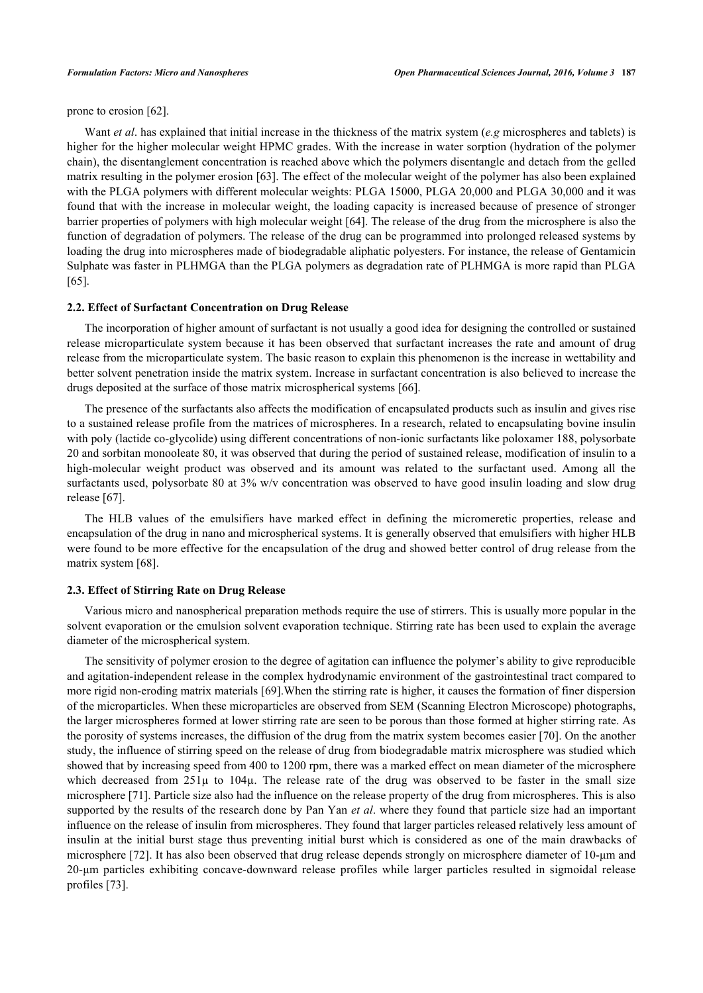prone to erosion [[62\]](#page-11-23).

Want *et al*. has explained that initial increase in the thickness of the matrix system (*e.g* microspheres and tablets) is higher for the higher molecular weight HPMC grades. With the increase in water sorption (hydration of the polymer chain), the disentanglement concentration is reached above which the polymers disentangle and detach from the gelled matrix resulting in the polymer erosion [\[63](#page-11-24)]. The effect of the molecular weight of the polymer has also been explained with the PLGA polymers with different molecular weights: PLGA 15000, PLGA 20,000 and PLGA 30,000 and it was found that with the increase in molecular weight, the loading capacity is increased because of presence of stronger barrier properties of polymers with high molecular weight [[64\]](#page-12-0). The release of the drug from the microsphere is also the function of degradation of polymers. The release of the drug can be programmed into prolonged released systems by loading the drug into microspheres made of biodegradable aliphatic polyesters. For instance, the release of Gentamicin Sulphate was faster in PLHMGA than the PLGA polymers as degradation rate of PLHMGA is more rapid than PLGA [\[65](#page-12-1)].

#### **2.2. Effect of Surfactant Concentration on Drug Release**

The incorporation of higher amount of surfactant is not usually a good idea for designing the controlled or sustained release microparticulate system because it has been observed that surfactant increases the rate and amount of drug release from the microparticulate system. The basic reason to explain this phenomenon is the increase in wettability and better solvent penetration inside the matrix system. Increase in surfactant concentration is also believed to increase the drugs deposited at the surface of those matrix microspherical systems [[66\]](#page-12-2).

The presence of the surfactants also affects the modification of encapsulated products such as insulin and gives rise to a sustained release profile from the matrices of microspheres. In a research, related to encapsulating bovine insulin with poly (lactide co-glycolide) using different concentrations of non-ionic surfactants like poloxamer 188, polysorbate 20 and sorbitan monooleate 80, it was observed that during the period of sustained release, modification of insulin to a high-molecular weight product was observed and its amount was related to the surfactant used. Among all the surfactants used, polysorbate 80 at 3% w/v concentration was observed to have good insulin loading and slow drug release [\[67](#page-12-3)].

The HLB values of the emulsifiers have marked effect in defining the micromeretic properties, release and encapsulation of the drug in nano and microspherical systems. It is generally observed that emulsifiers with higher HLB were found to be more effective for the encapsulation of the drug and showed better control of drug release from the matrix system [[68\]](#page-12-4).

#### **2.3. Effect of Stirring Rate on Drug Release**

Various micro and nanospherical preparation methods require the use of stirrers. This is usually more popular in the solvent evaporation or the emulsion solvent evaporation technique. Stirring rate has been used to explain the average diameter of the microspherical system.

The sensitivity of polymer erosion to the degree of agitation can influence the polymer's ability to give reproducible and agitation-independent release in the complex hydrodynamic environment of the gastrointestinal tract compared to more rigid non-eroding matrix materials [[69\]](#page-12-5).When the stirring rate is higher, it causes the formation of finer dispersion of the microparticles. When these microparticles are observed from SEM (Scanning Electron Microscope) photographs, the larger microspheres formed at lower stirring rate are seen to be porous than those formed at higher stirring rate. As the porosity of systems increases, the diffusion of the drug from the matrix system becomes easier [[70](#page-12-6)]. On the another study, the influence of stirring speed on the release of drug from biodegradable matrix microsphere was studied which showed that by increasing speed from 400 to 1200 rpm, there was a marked effect on mean diameter of the microsphere which decreased from  $251\mu$  to  $104\mu$ . The release rate of the drug was observed to be faster in the small size microsphere [\[71](#page-12-7)]. Particle size also had the influence on the release property of the drug from microspheres. This is also supported by the results of the research done by Pan Yan *et al*. where they found that particle size had an important influence on the release of insulin from microspheres. They found that larger particles released relatively less amount of insulin at the initial burst stage thus preventing initial burst which is considered as one of the main drawbacks of microsphere [[72](#page-12-8)]. It has also been observed that drug release depends strongly on microsphere diameter of 10-μm and 20-μm particles exhibiting concave-downward release profiles while larger particles resulted in sigmoidal release profiles [\[73](#page-12-9)].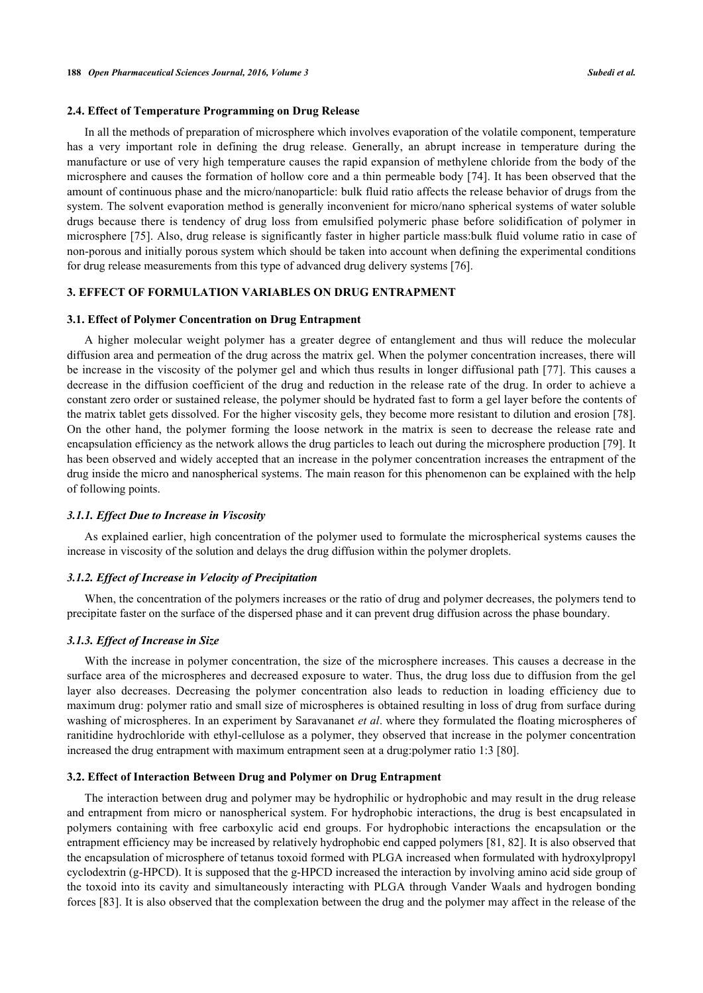#### **2.4. Effect of Temperature Programming on Drug Release**

In all the methods of preparation of microsphere which involves evaporation of the volatile component, temperature has a very important role in defining the drug release. Generally, an abrupt increase in temperature during the manufacture or use of very high temperature causes the rapid expansion of methylene chloride from the body of the microsphere and causes the formation of hollow core and a thin permeable body [\[74](#page-12-10)]. It has been observed that the amount of continuous phase and the micro/nanoparticle: bulk fluid ratio affects the release behavior of drugs from the system. The solvent evaporation method is generally inconvenient for micro/nano spherical systems of water soluble drugs because there is tendency of drug loss from emulsified polymeric phase before solidification of polymer in microsphere [[75\]](#page-12-11). Also, drug release is significantly faster in higher particle mass:bulk fluid volume ratio in case of non-porous and initially porous system which should be taken into account when defining the experimental conditions for drug release measurements from this type of advanced drug delivery systems [[76\]](#page-12-12).

# **3. EFFECT OF FORMULATION VARIABLES ON DRUG ENTRAPMENT**

#### **3.1. Effect of Polymer Concentration on Drug Entrapment**

A higher molecular weight polymer has a greater degree of entanglement and thus will reduce the molecular diffusion area and permeation of the drug across the matrix gel. When the polymer concentration increases, there will be increase in the viscosity of the polymer gel and which thus results in longer diffusional path [\[77](#page-12-13)]. This causes a decrease in the diffusion coefficient of the drug and reduction in the release rate of the drug. In order to achieve a constant zero order or sustained release, the polymer should be hydrated fast to form a gel layer before the contents of the matrix tablet gets dissolved. For the higher viscosity gels, they become more resistant to dilution and erosion [[78\]](#page-12-14). On the other hand, the polymer forming the loose network in the matrix is seen to decrease the release rate and encapsulation efficiency as the network allows the drug particles to leach out during the microsphere production [[79](#page-12-15)]. It has been observed and widely accepted that an increase in the polymer concentration increases the entrapment of the drug inside the micro and nanospherical systems. The main reason for this phenomenon can be explained with the help of following points.

#### *3.1.1. Effect Due to Increase in Viscosity*

As explained earlier, high concentration of the polymer used to formulate the microspherical systems causes the increase in viscosity of the solution and delays the drug diffusion within the polymer droplets.

#### *3.1.2. Effect of Increase in Velocity of Precipitation*

When, the concentration of the polymers increases or the ratio of drug and polymer decreases, the polymers tend to precipitate faster on the surface of the dispersed phase and it can prevent drug diffusion across the phase boundary.

#### *3.1.3. Effect of Increase in Size*

With the increase in polymer concentration, the size of the microsphere increases. This causes a decrease in the surface area of the microspheres and decreased exposure to water. Thus, the drug loss due to diffusion from the gel layer also decreases. Decreasing the polymer concentration also leads to reduction in loading efficiency due to maximum drug: polymer ratio and small size of microspheres is obtained resulting in loss of drug from surface during washing of microspheres. In an experiment by Saravananet *et al*. where they formulated the floating microspheres of ranitidine hydrochloride with ethyl-cellulose as a polymer, they observed that increase in the polymer concentration increased the drug entrapment with maximum entrapment seen at a drug:polymer ratio 1:3 [\[80](#page-12-16)].

#### **3.2. Effect of Interaction Between Drug and Polymer on Drug Entrapment**

The interaction between drug and polymer may be hydrophilic or hydrophobic and may result in the drug release and entrapment from micro or nanospherical system. For hydrophobic interactions, the drug is best encapsulated in polymers containing with free carboxylic acid end groups. For hydrophobic interactions the encapsulation or the entrapment efficiency may be increased by relatively hydrophobic end capped polymers [\[81](#page-12-17), [82](#page-12-18)]. It is also observed that the encapsulation of microsphere of tetanus toxoid formed with PLGA increased when formulated with hydroxylpropyl cyclodextrin (g-HPCD). It is supposed that the g-HPCD increased the interaction by involving amino acid side group of the toxoid into its cavity and simultaneously interacting with PLGA through Vander Waals and hydrogen bonding forces [\[83](#page-12-19)]. It is also observed that the complexation between the drug and the polymer may affect in the release of the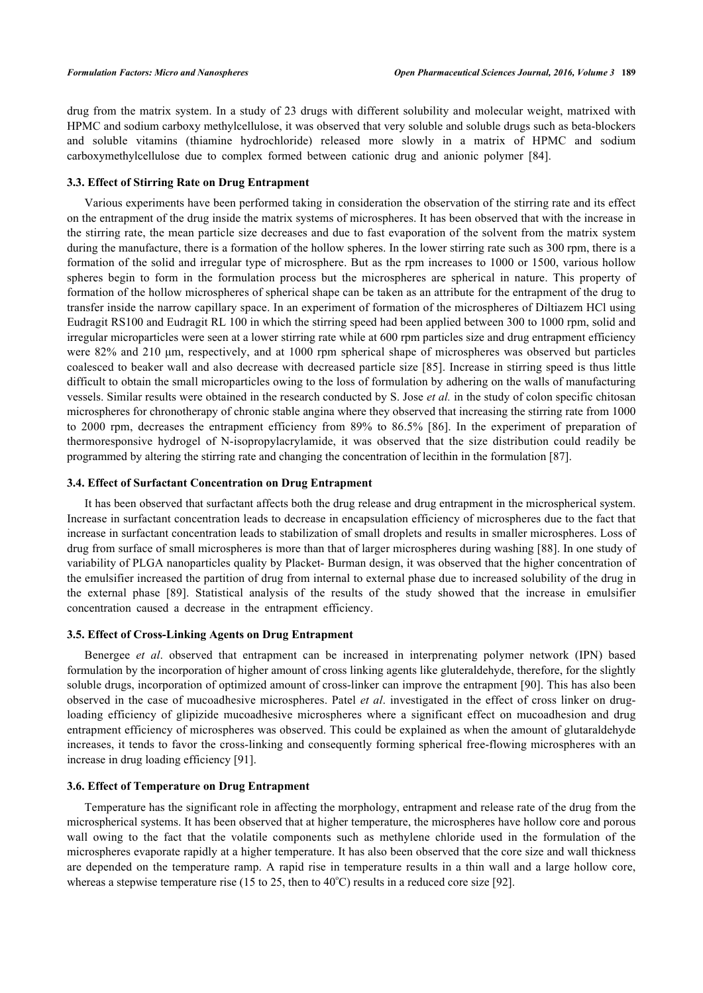drug from the matrix system. In a study of 23 drugs with different solubility and molecular weight, matrixed with HPMC and sodium carboxy methylcellulose, it was observed that very soluble and soluble drugs such as beta-blockers and soluble vitamins (thiamine hydrochloride) released more slowly in a matrix of HPMC and sodium carboxymethylcellulose due to complex formed between cationic drug and anionic polymer [\[84](#page-13-0)].

#### **3.3. Effect of Stirring Rate on Drug Entrapment**

Various experiments have been performed taking in consideration the observation of the stirring rate and its effect on the entrapment of the drug inside the matrix systems of microspheres. It has been observed that with the increase in the stirring rate, the mean particle size decreases and due to fast evaporation of the solvent from the matrix system during the manufacture, there is a formation of the hollow spheres. In the lower stirring rate such as 300 rpm, there is a formation of the solid and irregular type of microsphere. But as the rpm increases to 1000 or 1500, various hollow spheres begin to form in the formulation process but the microspheres are spherical in nature. This property of formation of the hollow microspheres of spherical shape can be taken as an attribute for the entrapment of the drug to transfer inside the narrow capillary space. In an experiment of formation of the microspheres of Diltiazem HCl using Eudragit RS100 and Eudragit RL 100 in which the stirring speed had been applied between 300 to 1000 rpm, solid and irregular microparticles were seen at a lower stirring rate while at 600 rpm particles size and drug entrapment efficiency were 82% and 210 μm, respectively, and at 1000 rpm spherical shape of microspheres was observed but particles coalesced to beaker wall and also decrease with decreased particle size [[85](#page-13-1)]. Increase in stirring speed is thus little difficult to obtain the small microparticles owing to the loss of formulation by adhering on the walls of manufacturing vessels. Similar results were obtained in the research conducted by S. Jose *et al.* in the study of colon specific chitosan microspheres for chronotherapy of chronic stable angina where they observed that increasing the stirring rate from 1000 to 2000 rpm, decreases the entrapment efficiency from 89% to 86.5%[[86](#page-13-2)]. In the experiment of preparation of thermoresponsive hydrogel of N-isopropylacrylamide, it was observed that the size distribution could readily be programmed by altering the stirring rate and changing the concentration of lecithin in the formulation [[87\]](#page-13-3).

# **3.4. Effect of Surfactant Concentration on Drug Entrapment**

It has been observed that surfactant affects both the drug release and drug entrapment in the microspherical system. Increase in surfactant concentration leads to decrease in encapsulation efficiency of microspheres due to the fact that increase in surfactant concentration leads to stabilization of small droplets and results in smaller microspheres. Loss of drug from surface of small microspheres is more than that of larger microspheres during washing [\[88\]](#page-13-4). In one study of variability of PLGA nanoparticles quality by Placket- Burman design, it was observed that the higher concentration of the emulsifier increased the partition of drug from internal to external phase due to increased solubility of the drug in the external phase [\[89](#page-13-5)]. Statistical analysis of the results of the study showed that the increase in emulsifier concentration caused a decrease in the entrapment efficiency.

#### **3.5. Effect of Cross-Linking Agents on Drug Entrapment**

Benergee *et al*. observed that entrapment can be increased in interprenating polymer network (IPN) based formulation by the incorporation of higher amount of cross linking agents like gluteraldehyde, therefore, for the slightly soluble drugs, incorporation of optimized amount of cross-linker can improve the entrapment [\[90\]](#page-13-6). This has also been observed in the case of mucoadhesive microspheres. Patel *et al*. investigated in the effect of cross linker on drugloading efficiency of glipizide mucoadhesive microspheres where a significant effect on mucoadhesion and drug entrapment efficiency of microspheres was observed. This could be explained as when the amount of glutaraldehyde increases, it tends to favor the cross-linking and consequently forming spherical free-flowing microspheres with an increase in drug loading efficiency [\[91](#page-13-7)].

#### **3.6. Effect of Temperature on Drug Entrapment**

Temperature has the significant role in affecting the morphology, entrapment and release rate of the drug from the microspherical systems. It has been observed that at higher temperature, the microspheres have hollow core and porous wall owing to the fact that the volatile components such as methylene chloride used in the formulation of the microspheres evaporate rapidly at a higher temperature. It has also been observed that the core size and wall thickness are depended on the temperature ramp. A rapid rise in temperature results in a thin wall and a large hollow core, whereas a stepwise temperature rise (15 to 25, then to 40 $^{\circ}$ C) results in a reduced core size [\[92](#page-13-8)].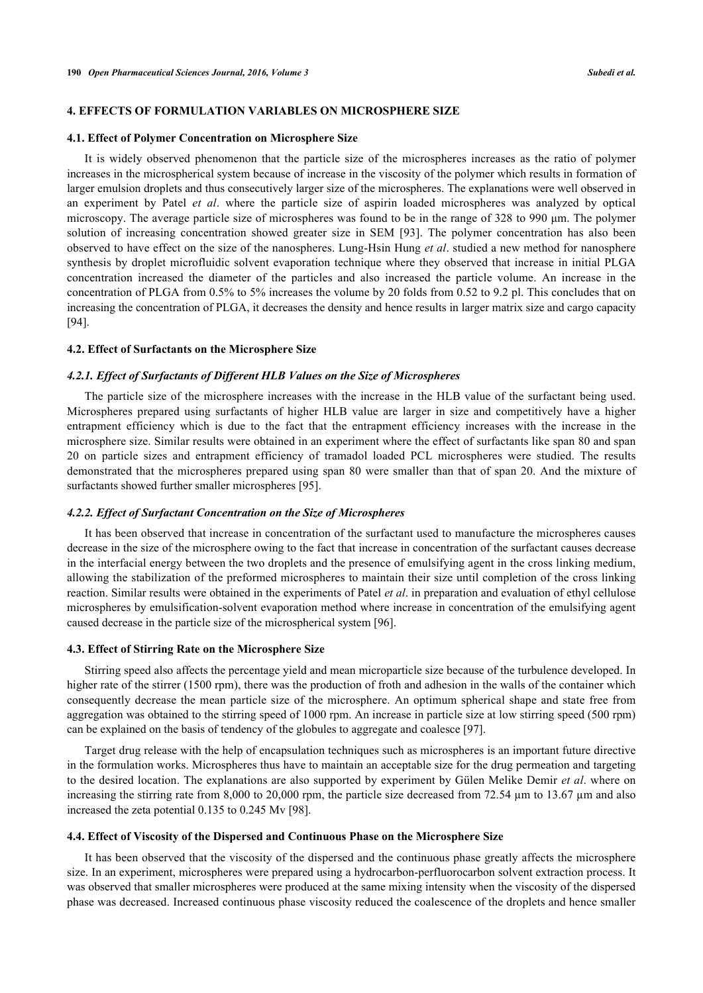#### **4. EFFECTS OF FORMULATION VARIABLES ON MICROSPHERE SIZE**

#### **4.1. Effect of Polymer Concentration on Microsphere Size**

It is widely observed phenomenon that the particle size of the microspheres increases as the ratio of polymer increases in the microspherical system because of increase in the viscosity of the polymer which results in formation of larger emulsion droplets and thus consecutively larger size of the microspheres. The explanations were well observed in an experiment by Patel *et al*. where the particle size of aspirin loaded microspheres was analyzed by optical microscopy. The average particle size of microspheres was found to be in the range of 328 to 990 μm. The polymer solution of increasing concentration showed greater size in SEM[[93](#page-13-9)]. The polymer concentration has also been observed to have effect on the size of the nanospheres. Lung-Hsin Hung *et al*. studied a new method for nanosphere synthesis by droplet microfluidic solvent evaporation technique where they observed that increase in initial PLGA concentration increased the diameter of the particles and also increased the particle volume. An increase in the concentration of PLGA from 0.5% to 5% increases the volume by 20 folds from 0.52 to 9.2 pl. This concludes that on increasing the concentration of PLGA, it decreases the density and hence results in larger matrix size and cargo capacity [\[94](#page-13-10)].

#### **4.2. Effect of Surfactants on the Microsphere Size**

#### *4.2.1. Effect of Surfactants of Different HLB Values on the Size of Microspheres*

The particle size of the microsphere increases with the increase in the HLB value of the surfactant being used. Microspheres prepared using surfactants of higher HLB value are larger in size and competitively have a higher entrapment efficiency which is due to the fact that the entrapment efficiency increases with the increase in the microsphere size. Similar results were obtained in an experiment where the effect of surfactants like span 80 and span 20 on particle sizes and entrapment efficiency of tramadol loaded PCL microspheres were studied. The results demonstrated that the microspheres prepared using span 80 were smaller than that of span 20. And the mixture of surfactants showed further smaller microspheres [\[95](#page-13-11)].

#### *4.2.2. Effect of Surfactant Concentration on the Size of Microspheres*

It has been observed that increase in concentration of the surfactant used to manufacture the microspheres causes decrease in the size of the microsphere owing to the fact that increase in concentration of the surfactant causes decrease in the interfacial energy between the two droplets and the presence of emulsifying agent in the cross linking medium, allowing the stabilization of the preformed microspheres to maintain their size until completion of the cross linking reaction. Similar results were obtained in the experiments of Patel *et al*. in preparation and evaluation of ethyl cellulose microspheres by emulsification-solvent evaporation method where increase in concentration of the emulsifying agent caused decrease in the particle size of the microspherical system [[96\]](#page-13-12).

#### **4.3. Effect of Stirring Rate on the Microsphere Size**

Stirring speed also affects the percentage yield and mean microparticle size because of the turbulence developed. In higher rate of the stirrer (1500 rpm), there was the production of froth and adhesion in the walls of the container which consequently decrease the mean particle size of the microsphere. An optimum spherical shape and state free from aggregation was obtained to the stirring speed of 1000 rpm. An increase in particle size at low stirring speed (500 rpm) can be explained on the basis of tendency of the globules to aggregate and coalesce [[97\]](#page-13-13).

Target drug release with the help of encapsulation techniques such as microspheres is an important future directive in the formulation works. Microspheres thus have to maintain an acceptable size for the drug permeation and targeting to the desired location. The explanations are also supported by experiment by Gülen Melike Demir *et al*. where on increasing the stirring rate from 8,000 to 20,000 rpm, the particle size decreased from 72.54  $\mu$ m to 13.67  $\mu$ m and also increased the zeta potential 0.135 to 0.245 Mv [[98\]](#page-13-14).

#### **4.4. Effect of Viscosity of the Dispersed and Continuous Phase on the Microsphere Size**

It has been observed that the viscosity of the dispersed and the continuous phase greatly affects the microsphere size. In an experiment, microspheres were prepared using a hydrocarbon-perfluorocarbon solvent extraction process. It was observed that smaller microspheres were produced at the same mixing intensity when the viscosity of the dispersed phase was decreased. Increased continuous phase viscosity reduced the coalescence of the droplets and hence smaller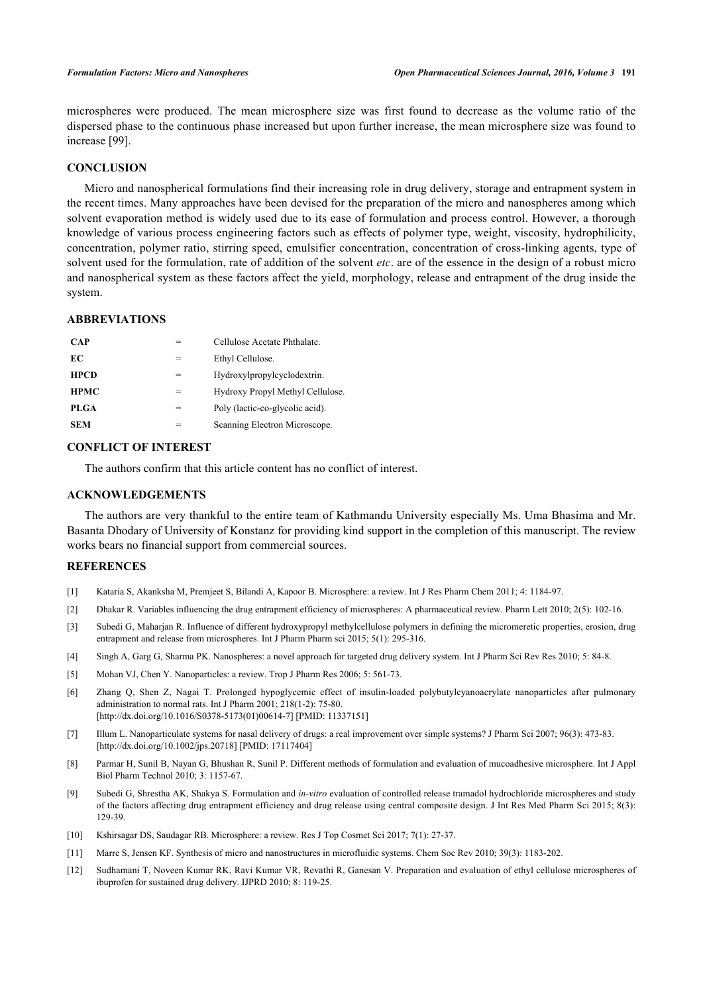microspheres were produced. The mean microsphere size was first found to decrease as the volume ratio of the dispersed phase to the continuous phase increased but upon further increase, the mean microsphere size was found to increase [\[99](#page-13-15)].

# **CONCLUSION**

Micro and nanospherical formulations find their increasing role in drug delivery, storage and entrapment system in the recent times. Many approaches have been devised for the preparation of the micro and nanospheres among which solvent evaporation method is widely used due to its ease of formulation and process control. However, a thorough knowledge of various process engineering factors such as effects of polymer type, weight, viscosity, hydrophilicity, concentration, polymer ratio, stirring speed, emulsifier concentration, concentration of cross-linking agents, type of solvent used for the formulation, rate of addition of the solvent *etc*. are of the essence in the design of a robust micro and nanospherical system as these factors affect the yield, morphology, release and entrapment of the drug inside the system.

# **ABBREVIATIONS**

| <b>CAP</b>  | $=$ | Cellulose Acetate Phthalate.     |
|-------------|-----|----------------------------------|
| EС          | =   | Ethyl Cellulose.                 |
| <b>HPCD</b> | =   | Hydroxylpropylcyclodextrin.      |
| <b>HPMC</b> | =   | Hydroxy Propyl Methyl Cellulose. |
| PLGA        | $=$ | Poly (lactic-co-glycolic acid).  |
| <b>SEM</b>  |     | Scanning Electron Microscope.    |

# **CONFLICT OF INTEREST**

The authors confirm that this article content has no conflict of interest.

# **ACKNOWLEDGEMENTS**

The authors are very thankful to the entire team of Kathmandu University especially Ms. Uma Bhasima and Mr. Basanta Dhodary of University of Konstanz for providing kind support in the completion of this manuscript. The review works bears no financial support from commercial sources.

# **REFERENCES**

- <span id="page-9-0"></span>[1] Kataria S, Akanksha M, Premjeet S, Bilandi A, Kapoor B. Microsphere: a review. Int J Res Pharm Chem 2011; 4: 1184-97.
- <span id="page-9-1"></span>[2] Dhakar R. Variables influencing the drug entrapment efficiency of microspheres: A pharmaceutical review. Pharm Lett 2010; 2(5): 102-16.
- <span id="page-9-2"></span>[3] Subedi G, Maharjan R. Influence of different hydroxypropyl methylcellulose polymers in defining the micromeretic properties, erosion, drug entrapment and release from microspheres. Int J Pharm Pharm sci 2015; 5(1): 295-316.
- <span id="page-9-3"></span>[4] Singh A, Garg G, Sharma PK. Nanospheres: a novel approach for targeted drug delivery system. Int J Pharm Sci Rev Res 2010; 5: 84-8.
- <span id="page-9-4"></span>[5] Mohan VJ, Chen Y. Nanoparticles: a review. Trop J Pharm Res 2006; 5: 561-73.
- <span id="page-9-5"></span>[6] Zhang Q, Shen Z, Nagai T. Prolonged hypoglycemic effect of insulin-loaded polybutylcyanoacrylate nanoparticles after pulmonary administration to normal rats. Int J Pharm 2001; 218(1-2): 75-80. [\[http://dx.doi.org/10.1016/S0378-5173\(01\)00614-7\]](http://dx.doi.org/10.1016/S0378-5173(01)00614-7) [PMID: [11337151](http://www.ncbi.nlm.nih.gov/pubmed/11337151)]
- <span id="page-9-6"></span>[7] Illum L. Nanoparticulate systems for nasal delivery of drugs: a real improvement over simple systems? J Pharm Sci 2007; 96(3): 473-83. [\[http://dx.doi.org/10.1002/jps.20718](http://dx.doi.org/10.1002/jps.20718)] [PMID: [17117404\]](http://www.ncbi.nlm.nih.gov/pubmed/17117404)
- <span id="page-9-7"></span>[8] Parmar H, Sunil B, Nayan G, Bhushan R, Sunil P. Different methods of formulation and evaluation of mucoadhesive microsphere. Int J Appl Biol Pharm Technol 2010; 3: 1157-67.
- <span id="page-9-8"></span>[9] Subedi G, Shrestha AK, Shakya S. Formulation and *in-vitro* evaluation of controlled release tramadol hydrochloride microspheres and study of the factors affecting drug entrapment efficiency and drug release using central composite design. J Int Res Med Pharm Sci 2015; 8(3): 129-39.
- <span id="page-9-9"></span>[10] Kshirsagar DS, Saudagar RB. Microsphere: a review. Res J Top Cosmet Sci 2017; 7(1): 27-37.
- <span id="page-9-10"></span>[11] Marre S, Jensen KF. Synthesis of micro and nanostructures in microfluidic systems. Chem Soc Rev 2010; 39(3): 1183-202.
- <span id="page-9-11"></span>[12] Sudhamani T, Noveen Kumar RK, Ravi Kumar VR, Revathi R, Ganesan V. Preparation and evaluation of ethyl cellulose microspheres of ibuprofen for sustained drug delivery. IJPRD 2010; 8: 119-25.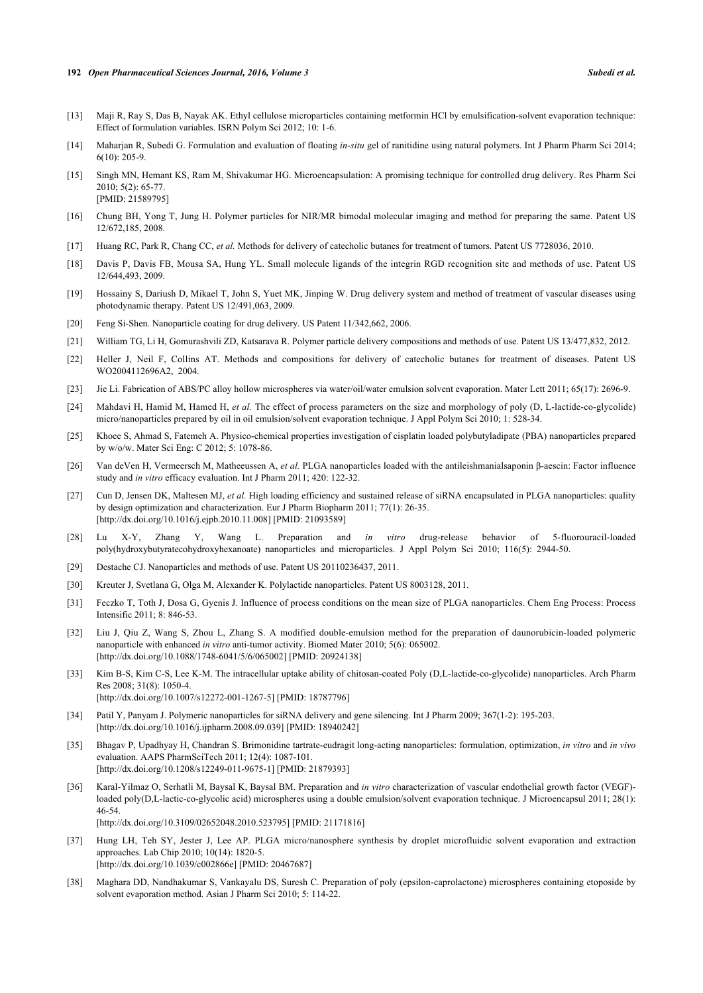- [13] Maji R, Ray S, Das B, Nayak AK. Ethyl cellulose microparticles containing metformin HCl by emulsification-solvent evaporation technique: Effect of formulation variables. ISRN Polym Sci 2012; 10: 1-6.
- [14] Maharjan R, Subedi G. Formulation and evaluation of floating *in-situ* gel of ranitidine using natural polymers. Int J Pharm Pharm Sci 2014;  $6(10)$   $205-9$
- <span id="page-10-0"></span>[15] Singh MN, Hemant KS, Ram M, Shivakumar HG. Microencapsulation: A promising technique for controlled drug delivery. Res Pharm Sci 2010; 5(2): 65-77. [PMID: [21589795\]](http://www.ncbi.nlm.nih.gov/pubmed/21589795)
- <span id="page-10-1"></span>[16] Chung BH, Yong T, Jung H. Polymer particles for NIR/MR bimodal molecular imaging and method for preparing the same. Patent US 12/672,185, 2008.
- <span id="page-10-2"></span>[17] Huang RC, Park R, Chang CC, *et al.* Methods for delivery of catecholic butanes for treatment of tumors. Patent US 7728036, 2010.
- <span id="page-10-3"></span>[18] Davis P, Davis FB, Mousa SA, Hung YL. Small molecule ligands of the integrin RGD recognition site and methods of use. Patent US 12/644,493, 2009.
- <span id="page-10-4"></span>[19] Hossainy S, Dariush D, Mikael T, John S, Yuet MK, Jinping W. Drug delivery system and method of treatment of vascular diseases using photodynamic therapy. Patent US 12/491,063, 2009.
- <span id="page-10-5"></span>[20] Feng Si-Shen. Nanoparticle coating for drug delivery. US Patent 11/342,662, 2006.
- <span id="page-10-6"></span>[21] William TG, Li H, Gomurashvili ZD, Katsarava R. Polymer particle delivery compositions and methods of use. Patent US 13/477,832, 2012.
- <span id="page-10-7"></span>[22] Heller J, Neil F, Collins AT. Methods and compositions for delivery of catecholic butanes for treatment of diseases. Patent US WO2004112696A2, 2004.
- <span id="page-10-8"></span>[23] Jie Li. Fabrication of ABS/PC alloy hollow microspheres via water/oil/water emulsion solvent evaporation. Mater Lett 2011; 65(17): 2696-9.
- <span id="page-10-9"></span>[24] Mahdavi H, Hamid M, Hamed H, *et al.* The effect of process parameters on the size and morphology of poly (D, L-lactide-co-glycolide) micro/nanoparticles prepared by oil in oil emulsion/solvent evaporation technique. J Appl Polym Sci 2010; 1: 528-34.
- <span id="page-10-10"></span>[25] Khoee S, Ahmad S, Fatemeh A. Physico-chemical properties investigation of cisplatin loaded polybutyladipate (PBA) nanoparticles prepared by w/o/w. Mater Sci Eng: C 2012; 5: 1078-86.
- <span id="page-10-11"></span>[26] Van deVen H, Vermeersch M, Matheeussen A, *et al.* PLGA nanoparticles loaded with the antileishmanialsaponin β-aescin: Factor influence study and *in vitro* efficacy evaluation. Int J Pharm 2011; 420: 122-32.
- <span id="page-10-12"></span>[27] Cun D, Jensen DK, Maltesen MJ, *et al.* High loading efficiency and sustained release of siRNA encapsulated in PLGA nanoparticles: quality by design optimization and characterization. Eur J Pharm Biopharm 2011; 77(1): 26-35. [\[http://dx.doi.org/10.1016/j.ejpb.2010.11.008\]](http://dx.doi.org/10.1016/j.ejpb.2010.11.008) [PMID: [21093589](http://www.ncbi.nlm.nih.gov/pubmed/21093589)]
- <span id="page-10-13"></span>[28] Lu X-Y, Zhang Y, Wang L. Preparation and *in vitro* drug-release behavior of 5-fluorouracil-loaded poly(hydroxybutyratecohydroxyhexanoate) nanoparticles and microparticles. J Appl Polym Sci 2010; 116(5): 2944-50.
- <span id="page-10-14"></span>[29] Destache CJ. Nanoparticles and methods of use. Patent US 20110236437, 2011.
- <span id="page-10-15"></span>[30] Kreuter J, Svetlana G, Olga M, Alexander K. Polylactide nanoparticles. Patent US 8003128, 2011.
- <span id="page-10-16"></span>[31] Feczko T, Toth J, Dosa G, Gyenis J. Influence of process conditions on the mean size of PLGA nanoparticles. Chem Eng Process: Process Intensific 2011; 8: 846-53.
- <span id="page-10-17"></span>[32] Liu J, Qiu Z, Wang S, Zhou L, Zhang S. A modified double-emulsion method for the preparation of daunorubicin-loaded polymeric nanoparticle with enhanced *in vitro* anti-tumor activity. Biomed Mater 2010; 5(6): 065002. [\[http://dx.doi.org/10.1088/1748-6041/5/6/065002](http://dx.doi.org/10.1088/1748-6041/5/6/065002)] [PMID: [20924138\]](http://www.ncbi.nlm.nih.gov/pubmed/20924138)
- <span id="page-10-18"></span>[33] Kim B-S, Kim C-S, Lee K-M. The intracellular uptake ability of chitosan-coated Poly (D,L-lactide-co-glycolide) nanoparticles. Arch Pharm Res 2008; 31(8): 1050-4. [\[http://dx.doi.org/10.1007/s12272-001-1267-5\]](http://dx.doi.org/10.1007/s12272-001-1267-5) [PMID: [18787796](http://www.ncbi.nlm.nih.gov/pubmed/18787796)]
- <span id="page-10-19"></span>[34] Patil Y, Panyam J. Polymeric nanoparticles for siRNA delivery and gene silencing. Int J Pharm 2009; 367(1-2): 195-203. [\[http://dx.doi.org/10.1016/j.ijpharm.2008.09.039\]](http://dx.doi.org/10.1016/j.ijpharm.2008.09.039) [PMID: [18940242](http://www.ncbi.nlm.nih.gov/pubmed/18940242)]
- <span id="page-10-20"></span>[35] Bhagav P, Upadhyay H, Chandran S. Brimonidine tartrate-eudragit long-acting nanoparticles: formulation, optimization, *in vitro* and *in vivo* evaluation. AAPS PharmSciTech 2011; 12(4): 1087-101. [\[http://dx.doi.org/10.1208/s12249-011-9675-1\]](http://dx.doi.org/10.1208/s12249-011-9675-1) [PMID: [21879393](http://www.ncbi.nlm.nih.gov/pubmed/21879393)]
- <span id="page-10-21"></span>[36] Karal-Yilmaz O, Serhatli M, Baysal K, Baysal BM. Preparation and *in vitro* characterization of vascular endothelial growth factor (VEGF) loaded poly(D,L-lactic-co-glycolic acid) microspheres using a double emulsion/solvent evaporation technique. J Microencapsul 2011; 28(1): 46-54. [\[http://dx.doi.org/10.3109/02652048.2010.523795\]](http://dx.doi.org/10.3109/02652048.2010.523795) [PMID: [21171816](http://www.ncbi.nlm.nih.gov/pubmed/21171816)]
- <span id="page-10-22"></span>[37] Hung LH, Teh SY, Jester J, Lee AP. PLGA micro/nanosphere synthesis by droplet microfluidic solvent evaporation and extraction approaches. Lab Chip 2010; 10(14): 1820-5. [\[http://dx.doi.org/10.1039/c002866e\]](http://dx.doi.org/10.1039/c002866e) [PMID: [20467687](http://www.ncbi.nlm.nih.gov/pubmed/20467687)]
- <span id="page-10-23"></span>[38] Maghara DD, Nandhakumar S, Vankayalu DS, Suresh C. Preparation of poly (epsilon-caprolactone) microspheres containing etoposide by solvent evaporation method. Asian J Pharm Sci 2010; 5: 114-22.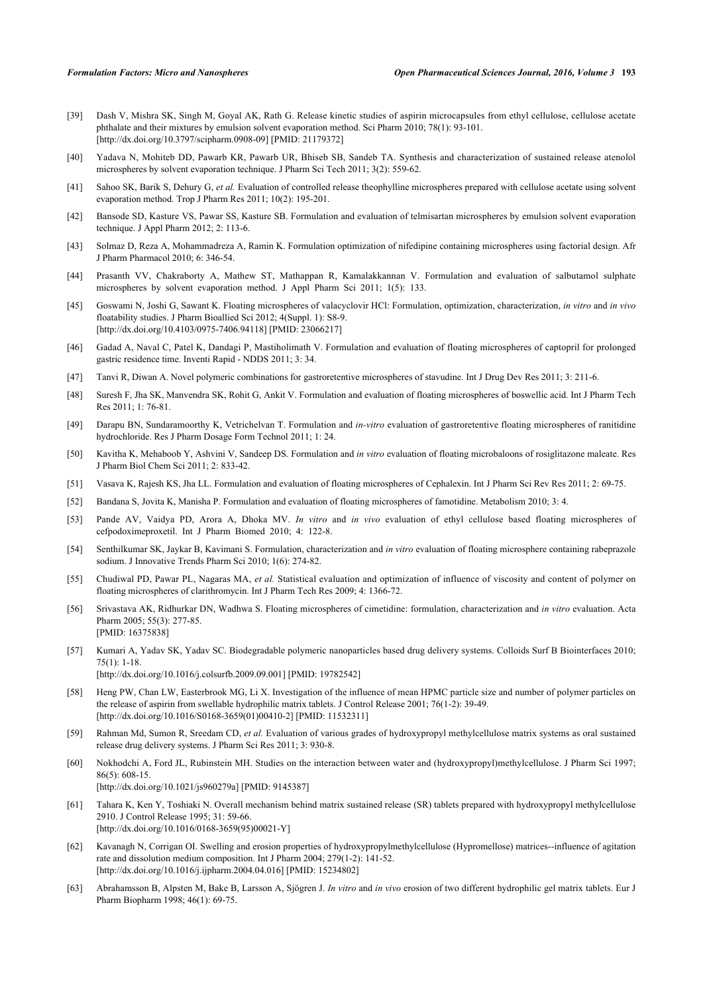- <span id="page-11-0"></span>[39] Dash V, Mishra SK, Singh M, Goyal AK, Rath G. Release kinetic studies of aspirin microcapsules from ethyl cellulose, cellulose acetate phthalate and their mixtures by emulsion solvent evaporation method. Sci Pharm 2010; 78(1): 93-101. [\[http://dx.doi.org/10.3797/scipharm.0908-09\]](http://dx.doi.org/10.3797/scipharm.0908-09) [PMID: [21179372](http://www.ncbi.nlm.nih.gov/pubmed/21179372)]
- <span id="page-11-1"></span>[40] Yadava N, Mohiteb DD, Pawarb KR, Pawarb UR, Bhiseb SB, Sandeb TA. Synthesis and characterization of sustained release atenolol microspheres by solvent evaporation technique. J Pharm Sci Tech 2011; 3(2): 559-62.
- <span id="page-11-2"></span>[41] Sahoo SK, Barik S, Dehury G, et al. Evaluation of controlled release theophylline microspheres prepared with cellulose acetate using solvent evaporation method. Trop J Pharm Res 2011; 10(2): 195-201.
- <span id="page-11-3"></span>[42] Bansode SD, Kasture VS, Pawar SS, Kasture SB. Formulation and evaluation of telmisartan microspheres by emulsion solvent evaporation technique. J Appl Pharm 2012; 2: 113-6.
- <span id="page-11-4"></span>[43] Solmaz D, Reza A, Mohammadreza A, Ramin K. Formulation optimization of nifedipine containing microspheres using factorial design. Afr J Pharm Pharmacol 2010; 6: 346-54.
- <span id="page-11-5"></span>[44] Prasanth VV, Chakraborty A, Mathew ST, Mathappan R, Kamalakkannan V. Formulation and evaluation of salbutamol sulphate microspheres by solvent evaporation method. J Appl Pharm Sci 2011; 1(5): 133.
- <span id="page-11-6"></span>[45] Goswami N, Joshi G, Sawant K. Floating microspheres of valacyclovir HCl: Formulation, optimization, characterization, *in vitro* and *in vivo* floatability studies. J Pharm Bioallied Sci 2012; 4(Suppl. 1): S8-9. [\[http://dx.doi.org/10.4103/0975-7406.94118](http://dx.doi.org/10.4103/0975-7406.94118)] [PMID: [23066217](http://www.ncbi.nlm.nih.gov/pubmed/23066217)]
- <span id="page-11-7"></span>[46] Gadad A, Naval C, Patel K, Dandagi P, Mastiholimath V. Formulation and evaluation of floating microspheres of captopril for prolonged gastric residence time. Inventi Rapid - NDDS 2011; 3: 34.
- <span id="page-11-8"></span>[47] Tanvi R, Diwan A. Novel polymeric combinations for gastroretentive microspheres of stavudine. Int J Drug Dev Res 2011; 3: 211-6.
- <span id="page-11-9"></span>[48] Suresh F, Jha SK, Manvendra SK, Rohit G, Ankit V. Formulation and evaluation of floating microspheres of boswellic acid. Int J Pharm Tech Res 2011; 1: 76-81.
- <span id="page-11-10"></span>[49] Darapu BN, Sundaramoorthy K, Vetrichelvan T. Formulation and *in-vitro* evaluation of gastroretentive floating microspheres of ranitidine hydrochloride. Res J Pharm Dosage Form Technol 2011; 1: 24.
- <span id="page-11-11"></span>[50] Kavitha K, Mehaboob Y, Ashvini V, Sandeep DS. Formulation and *in vitro* evaluation of floating microbaloons of rosiglitazone maleate. Res J Pharm Biol Chem Sci 2011; 2: 833-42.
- <span id="page-11-12"></span>[51] Vasava K, Rajesh KS, Jha LL. Formulation and evaluation of floating microspheres of Cephalexin. Int J Pharm Sci Rev Res 2011; 2: 69-75.
- <span id="page-11-13"></span>[52] Bandana S, Jovita K, Manisha P. Formulation and evaluation of floating microspheres of famotidine. Metabolism 2010; 3: 4.
- <span id="page-11-14"></span>[53] Pande AV, Vaidya PD, Arora A, Dhoka MV. *In vitro* and *in vivo* evaluation of ethyl cellulose based floating microspheres of cefpodoximeproxetil. Int J Pharm Biomed 2010; 4: 122-8.
- <span id="page-11-15"></span>[54] Senthilkumar SK, Jaykar B, Kavimani S. Formulation, characterization and *in vitro* evaluation of floating microsphere containing rabeprazole sodium. J Innovative Trends Pharm Sci 2010; 1(6): 274-82.
- <span id="page-11-16"></span>[55] Chudiwal PD, Pawar PL, Nagaras MA, *et al.* Statistical evaluation and optimization of influence of viscosity and content of polymer on floating microspheres of clarithromycin. Int J Pharm Tech Res 2009; 4: 1366-72.
- <span id="page-11-17"></span>[56] Srivastava AK, Ridhurkar DN, Wadhwa S. Floating microspheres of cimetidine: formulation, characterization and *in vitro* evaluation. Acta Pharm 2005; 55(3): 277-85. [PMID: [16375838\]](http://www.ncbi.nlm.nih.gov/pubmed/16375838)
- <span id="page-11-18"></span>[57] Kumari A, Yadav SK, Yadav SC. Biodegradable polymeric nanoparticles based drug delivery systems. Colloids Surf B Biointerfaces 2010; 75(1): 1-18. [\[http://dx.doi.org/10.1016/j.colsurfb.2009.09.001](http://dx.doi.org/10.1016/j.colsurfb.2009.09.001)] [PMID: [19782542\]](http://www.ncbi.nlm.nih.gov/pubmed/19782542)
- <span id="page-11-19"></span>[58] Heng PW, Chan LW, Easterbrook MG, Li X. Investigation of the influence of mean HPMC particle size and number of polymer particles on the release of aspirin from swellable hydrophilic matrix tablets. J Control Release 2001; 76(1-2): 39-49. [\[http://dx.doi.org/10.1016/S0168-3659\(01\)00410-2\]](http://dx.doi.org/10.1016/S0168-3659(01)00410-2) [PMID: [11532311](http://www.ncbi.nlm.nih.gov/pubmed/11532311)]
- <span id="page-11-20"></span>[59] Rahman Md, Sumon R, Sreedam CD, *et al.* Evaluation of various grades of hydroxypropyl methylcellulose matrix systems as oral sustained release drug delivery systems. J Pharm Sci Res 2011; 3: 930-8.
- <span id="page-11-21"></span>[60] Nokhodchi A, Ford JL, Rubinstein MH. Studies on the interaction between water and (hydroxypropyl)methylcellulose. J Pharm Sci 1997; 86(5): 608-15.
	- [\[http://dx.doi.org/10.1021/js960279a\]](http://dx.doi.org/10.1021/js960279a) [PMID: [9145387](http://www.ncbi.nlm.nih.gov/pubmed/9145387)]
- <span id="page-11-22"></span>[61] Tahara K, Ken Y, Toshiaki N. Overall mechanism behind matrix sustained release (SR) tablets prepared with hydroxypropyl methylcellulose 2910. J Control Release 1995; 31: 59-66. [\[http://dx.doi.org/10.1016/0168-3659\(95\)00021-Y](http://dx.doi.org/10.1016/0168-3659(95)00021-Y)]
- <span id="page-11-23"></span>[62] Kavanagh N, Corrigan OI. Swelling and erosion properties of hydroxypropylmethylcellulose (Hypromellose) matrices--influence of agitation rate and dissolution medium composition. Int J Pharm 2004; 279(1-2): 141-52. [\[http://dx.doi.org/10.1016/j.ijpharm.2004.04.016\]](http://dx.doi.org/10.1016/j.ijpharm.2004.04.016) [PMID: [15234802](http://www.ncbi.nlm.nih.gov/pubmed/15234802)]
- <span id="page-11-24"></span>[63] Abrahamsson B, Alpsten M, Bake B, Larsson A, Sjögren J. *In vitro* and *in vivo* erosion of two different hydrophilic gel matrix tablets. Eur J Pharm Biopharm 1998; 46(1): 69-75.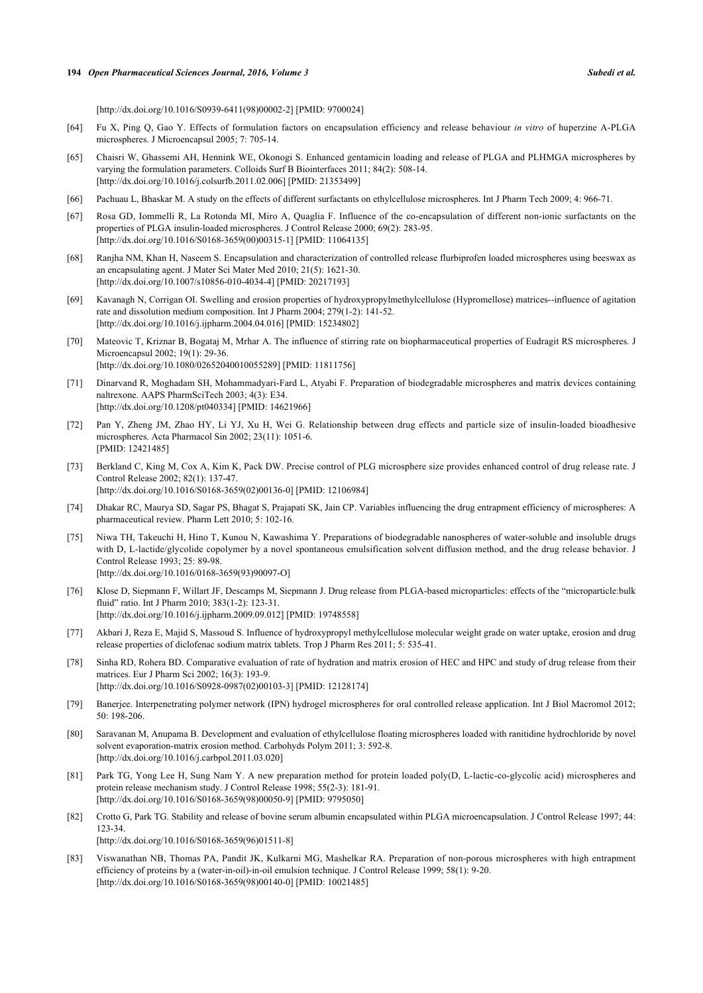[\[http://dx.doi.org/10.1016/S0939-6411\(98\)00002-2\]](http://dx.doi.org/10.1016/S0939-6411(98)00002-2) [PMID: [9700024](http://www.ncbi.nlm.nih.gov/pubmed/9700024)]

- <span id="page-12-0"></span>[64] Fu X, Ping Q, Gao Y. Effects of formulation factors on encapsulation efficiency and release behaviour *in vitro* of huperzine A-PLGA microspheres. J Microencapsul 2005; 7: 705-14.
- <span id="page-12-1"></span>[65] Chaisri W, Ghassemi AH, Hennink WE, Okonogi S. Enhanced gentamicin loading and release of PLGA and PLHMGA microspheres by varying the formulation parameters. Colloids Surf B Biointerfaces 2011; 84(2): 508-14. [\[http://dx.doi.org/10.1016/j.colsurfb.2011.02.006](http://dx.doi.org/10.1016/j.colsurfb.2011.02.006)] [PMID: [21353499\]](http://www.ncbi.nlm.nih.gov/pubmed/21353499)
- <span id="page-12-2"></span>[66] Pachuau L, Bhaskar M. A study on the effects of different surfactants on ethylcellulose microspheres. Int J Pharm Tech 2009; 4: 966-71.
- <span id="page-12-3"></span>[67] Rosa GD, Iommelli R, La Rotonda MI, Miro A, Quaglia F. Influence of the co-encapsulation of different non-ionic surfactants on the properties of PLGA insulin-loaded microspheres. J Control Release 2000; 69(2): 283-95. [\[http://dx.doi.org/10.1016/S0168-3659\(00\)00315-1\]](http://dx.doi.org/10.1016/S0168-3659(00)00315-1) [PMID: [11064135](http://www.ncbi.nlm.nih.gov/pubmed/11064135)]
- <span id="page-12-4"></span>[68] Ranjha NM, Khan H, Naseem S. Encapsulation and characterization of controlled release flurbiprofen loaded microspheres using beeswax as an encapsulating agent. J Mater Sci Mater Med 2010; 21(5): 1621-30. [\[http://dx.doi.org/10.1007/s10856-010-4034-4\]](http://dx.doi.org/10.1007/s10856-010-4034-4) [PMID: [20217193](http://www.ncbi.nlm.nih.gov/pubmed/20217193)]
- <span id="page-12-5"></span>[69] Kavanagh N, Corrigan OI. Swelling and erosion properties of hydroxypropylmethylcellulose (Hypromellose) matrices--influence of agitation rate and dissolution medium composition. Int J Pharm 2004; 279(1-2): 141-52. [\[http://dx.doi.org/10.1016/j.ijpharm.2004.04.016\]](http://dx.doi.org/10.1016/j.ijpharm.2004.04.016) [PMID: [15234802](http://www.ncbi.nlm.nih.gov/pubmed/15234802)]
- <span id="page-12-6"></span>[70] Mateovic T, Kriznar B, Bogataj M, Mrhar A. The influence of stirring rate on biopharmaceutical properties of Eudragit RS microspheres. J Microencapsul 2002; 19(1): 29-36. [\[http://dx.doi.org/10.1080/02652040010055289\]](http://dx.doi.org/10.1080/02652040010055289) [PMID: [11811756](http://www.ncbi.nlm.nih.gov/pubmed/11811756)]
- <span id="page-12-7"></span>[71] Dinarvand R, Moghadam SH, Mohammadyari-Fard L, Atyabi F. Preparation of biodegradable microspheres and matrix devices containing naltrexone. AAPS PharmSciTech 2003; 4(3): E34. [\[http://dx.doi.org/10.1208/pt040334](http://dx.doi.org/10.1208/pt040334)] [PMID: [14621966\]](http://www.ncbi.nlm.nih.gov/pubmed/14621966)
- <span id="page-12-8"></span>[72] Pan Y, Zheng JM, Zhao HY, Li YJ, Xu H, Wei G. Relationship between drug effects and particle size of insulin-loaded bioadhesive microspheres. Acta Pharmacol Sin 2002; 23(11): 1051-6. [PMID: [12421485\]](http://www.ncbi.nlm.nih.gov/pubmed/12421485)
- <span id="page-12-9"></span>[73] Berkland C, King M, Cox A, Kim K, Pack DW. Precise control of PLG microsphere size provides enhanced control of drug release rate. J Control Release 2002; 82(1): 137-47. [\[http://dx.doi.org/10.1016/S0168-3659\(02\)00136-0\]](http://dx.doi.org/10.1016/S0168-3659(02)00136-0) [PMID: [12106984](http://www.ncbi.nlm.nih.gov/pubmed/12106984)]
- <span id="page-12-10"></span>[74] Dhakar RC, Maurya SD, Sagar PS, Bhagat S, Prajapati SK, Jain CP. Variables influencing the drug entrapment efficiency of microspheres: A pharmaceutical review. Pharm Lett 2010; 5: 102-16.
- <span id="page-12-11"></span>[75] Niwa TH, Takeuchi H, Hino T, Kunou N, Kawashima Y. Preparations of biodegradable nanospheres of water-soluble and insoluble drugs with D, L-lactide/glycolide copolymer by a novel spontaneous emulsification solvent diffusion method, and the drug release behavior. J Control Release 1993; 25: 89-98. [\[http://dx.doi.org/10.1016/0168-3659\(93\)90097-O](http://dx.doi.org/10.1016/0168-3659(93)90097-O)]
- <span id="page-12-12"></span>[76] Klose D, Siepmann F, Willart JF, Descamps M, Siepmann J. Drug release from PLGA-based microparticles: effects of the "microparticle:bulk fluid" ratio. Int J Pharm 2010; 383(1-2): 123-31. [\[http://dx.doi.org/10.1016/j.ijpharm.2009.09.012\]](http://dx.doi.org/10.1016/j.ijpharm.2009.09.012) [PMID: [19748558](http://www.ncbi.nlm.nih.gov/pubmed/19748558)]
- <span id="page-12-13"></span>[77] Akbari J, Reza E, Majid S, Massoud S. Influence of hydroxypropyl methylcellulose molecular weight grade on water uptake, erosion and drug release properties of diclofenac sodium matrix tablets. Trop J Pharm Res 2011; 5: 535-41.
- <span id="page-12-14"></span>[78] Sinha RD, Rohera BD. Comparative evaluation of rate of hydration and matrix erosion of HEC and HPC and study of drug release from their matrices. Eur J Pharm Sci 2002; 16(3): 193-9. [\[http://dx.doi.org/10.1016/S0928-0987\(02\)00103-3\]](http://dx.doi.org/10.1016/S0928-0987(02)00103-3) [PMID: [12128174](http://www.ncbi.nlm.nih.gov/pubmed/12128174)]
- <span id="page-12-15"></span>[79] Banerjee. Interpenetrating polymer network (IPN) hydrogel microspheres for oral controlled release application. Int J Biol Macromol 2012; 50: 198-206.
- <span id="page-12-16"></span>[80] Saravanan M, Anupama B. Development and evaluation of ethylcellulose floating microspheres loaded with ranitidine hydrochloride by novel solvent evaporation-matrix erosion method. Carbohyds Polym 2011; 3: 592-8. [\[http://dx.doi.org/10.1016/j.carbpol.2011.03.020](http://dx.doi.org/10.1016/j.carbpol.2011.03.020)]
- <span id="page-12-17"></span>[81] Park TG, Yong Lee H, Sung Nam Y. A new preparation method for protein loaded poly(D, L-lactic-co-glycolic acid) microspheres and protein release mechanism study. J Control Release 1998; 55(2-3): 181-91. [\[http://dx.doi.org/10.1016/S0168-3659\(98\)00050-9\]](http://dx.doi.org/10.1016/S0168-3659(98)00050-9) [PMID: [9795050](http://www.ncbi.nlm.nih.gov/pubmed/9795050)]
- <span id="page-12-18"></span>[82] Crotto G, Park TG. Stability and release of bovine serum albumin encapsulated within PLGA microencapsulation. J Control Release 1997; 44: 123-34. [\[http://dx.doi.org/10.1016/S0168-3659\(96\)01511-8\]](http://dx.doi.org/10.1016/S0168-3659(96)01511-8)
- <span id="page-12-19"></span>[83] Viswanathan NB, Thomas PA, Pandit JK, Kulkarni MG, Mashelkar RA. Preparation of non-porous microspheres with high entrapment efficiency of proteins by a (water-in-oil)-in-oil emulsion technique. J Control Release 1999; 58(1): 9-20. [\[http://dx.doi.org/10.1016/S0168-3659\(98\)00140-0\]](http://dx.doi.org/10.1016/S0168-3659(98)00140-0) [PMID: [10021485](http://www.ncbi.nlm.nih.gov/pubmed/10021485)]